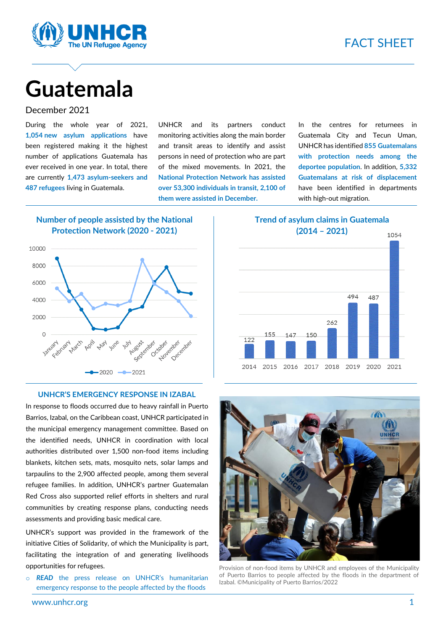

# **Guatemala**

#### December 2021

During the whole year of 2021, **1,054 new asylum applications** have been registered making it the highest number of applications Guatemala has ever received in one year. In total, there are currently **1,473 asylum-seekers and 487 refugees** living in Guatemala.

UNHCR and its partners conduct monitoring activities along the main border and transit areas to identify and assist persons in need of protection who are part of the mixed movements. In 2021, the **National Protection Network has assisted over 53,300 individuals in transit, 2,100 of them were assisted in December.**

In the centres for returnees in Guatemala City and Tecun Uman, UNHCR has identified **855 Guatemalans with protection needs among the deportee population**. In addition, **5,332 Guatemalans at risk of displacement** have been identified in departments with high-out migration.

#### **Number of people assisted by the National Protection Network (2020 - 2021)**



#### **UNHCR'S EMERGENCY RESPONSE IN IZABAL**

In response to floods occurred due to heavy rainfall in Puerto Barrios, Izabal, on the Caribbean coast, UNHCR participated in the municipal emergency management committee. Based on the identified needs, UNHCR in coordination with local authorities distributed over 1,500 non-food items including blankets, kitchen sets, mats, mosquito nets, solar lamps and tarpaulins to the 2,900 affected people, among them several refugee families. In addition, UNHCR's partner Guatemalan Red Cross also supported relief efforts in shelters and rural communities by creating response plans, conducting needs assessments and providing basic medical care.

UNHCR's support was provided in the framework of the initiative Cities of Solidarity, of which the Municipality is part, facilitating the integration of and generating livelihoods opportunities for refugees.

o *READ* [the press release on UNHCR's humanitarian](https://www.acnur.org/noticias/press/2022/1/61e06fef4/acnur-apoya-la-respuesta-humanitaria-en-izabal-con-1500-articulos-de-emergencia.html)  [emergency response to the people affected by the floods](https://www.acnur.org/noticias/press/2022/1/61e06fef4/acnur-apoya-la-respuesta-humanitaria-en-izabal-con-1500-articulos-de-emergencia.html)

**Trend of asylum claims in Guatemala (2014 – 2021)**





Provision of non-food items by UNHCR and employees of the Municipality of Puerto Barrios to people affected by the floods in the department of Izabal. ©Municipality of Puerto Barrios/2022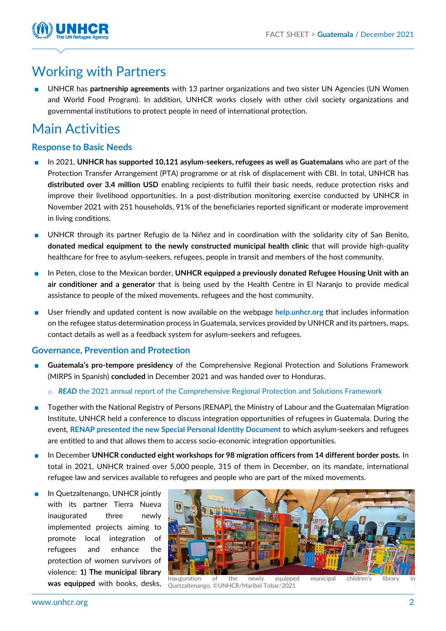

# Working with Partners

UNHCR has **partnership agreements** with 13 partner organizations and two sister UN Agencies (UN Women and World Food Program). In addition, UNHCR works closely with other civil society organizations and governmental institutions to protect people in need of international protection.

# Main Activities

# **Response to Basic Needs**

- In 2021, **UNHCR has supported 10,121 asylum-seekers, refugees as well as Guatemalans** who are part of the Protection Transfer Arrangement (PTA) programme or at risk of displacement with CBI. In total, UNHCR has **distributed over 3.4 million USD** enabling recipients to fulfil their basic needs, reduce protection risks and improve their livelihood opportunities. In a post-distribution monitoring exercise conducted by UNHCR in November 2021 with 251 households, 91% of the beneficiaries reported significant or moderate improvement in living conditions.
- UNHCR through its partner Refugio de la Niñez and in coordination with the solidarity city of San Benito, **donated medical equipment to the newly constructed municipal health clinic** that will provide high-quality healthcare for free to asylum-seekers, refugees, people in transit and members of the host community.
- In Peten, close to the Mexican border, UNHCR equipped a previously donated Refugee Housing Unit with an **air conditioner and a generator** that is being used by the Health Centre in El Naranjo to provide medical assistance to people of the mixed movements, refugees and the host community.
- User friendly and updated content is now available on the webpage **[help.unhcr.org](https://help.unhcr.org/guatemala/)** that includes information on the refugee status determination process in Guatemala, services provided by UNHCR and its partners, maps, contact details as well as a feedback system for asylum-seekers and refugees.

## **Governance, Prevention and Protection**

- **Guatemala's pro-tempore presidency** of the Comprehensive Regional Protection and Solutions Framework (MIRPS in Spanish) **concluded** in December 2021 and was handed over to Honduras.
	- o *READ* [the 2021 annual report of the Comprehensive Regional Protection and Solutions Framework](https://mirpsplatform.org/en/iv-comprehensive-regional-protection-and-solutions-framework-annual-report-2021/)
- Together with the National Registry of Persons (RENAP), the Ministry of Labour and the Guatemalan Migration Institute, UNHCR held a conference to discuss integration opportunities of refugees in Guatemala. During the event, **[RENAP presented the new Special Personal Identity](https://www.acnur.org/noticias/press/2021/12/61ddc7ef4/el-documento-personal-de-identidad-especial-el-gran-avance-de-guatemala.html) Document** to which asylum-seekers and refugees are entitled to and that allows them to access socio-economic integration opportunities.
- In December **UNHCR conducted eight workshops for 98 migration officers from 14 different border posts.** In total in 2021, UNHCR trained over 5,000 people, 315 of them in December, on its mandate, international refugee law and services available to refugees and people who are part of the mixed movements.
- In Quetzaltenango, UNHCR jointly with its partner Tierra Nueva inaugurated three newly implemented projects aiming to promote local integration of refugees and enhance the protection of women survivors of violence: **1) The municipal library**



**was equipped with books, desks, Duetzaltenango CUNHCR/Maribel Tobar/2021** municipal children's library **was equipped with books, desks, Duetzaltenango CUNHCR/Maribel Tobar/2021** Quetzaltenango. ©UNHCR/Maribel Tobar/2021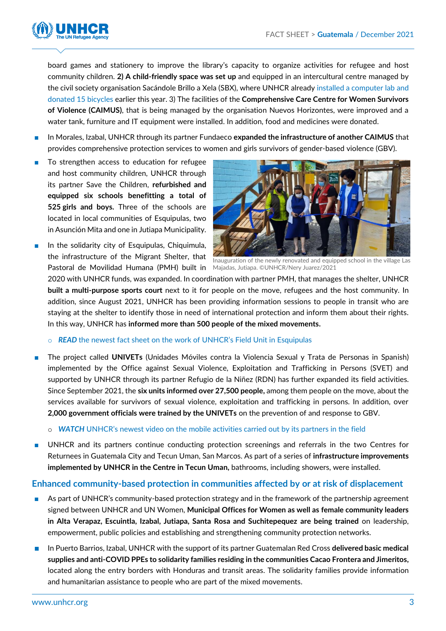

board games and stationery to improve the library's capacity to organize activities for refugee and host community children. **2) A child-friendly space was set up** and equipped in an intercultural centre managed by the civil society organisation Sacándole Brillo a Xela (SBX), where UNHCR already [installed a computer lab and](https://reliefweb.int/sites/reliefweb.int/files/resources/UNHCR%20Guatemala%20Factsheet%20-%20Field%20Unit%20Tecun%20Uman%20November%202021.pdf)  [donated 15 bicycles](https://reliefweb.int/sites/reliefweb.int/files/resources/UNHCR%20Guatemala%20Factsheet%20-%20Field%20Unit%20Tecun%20Uman%20November%202021.pdf) earlier this year. 3) The facilities of the **Comprehensive Care Centre for Women Survivors of Violence (CAIMUS)**, that is being managed by the organisation Nuevos Horizontes, were improved and a water tank, furniture and IT equipment were installed. In addition, food and medicines were donated.

- In Morales, Izabal, UNHCR through its partner Fundaeco **expanded the infrastructure of another CAIMUS** that provides comprehensive protection services to women and girls survivors of gender-based violence (GBV).
- To strengthen access to education for refugee and host community children, UNHCR through its partner Save the Children, **refurbished and equipped six schools benefitting a total of 525 girls and boys.** Three of the schools are located in local communities of Esquipulas, two in Asunción Mita and one in Jutiapa Municipality.
- In the solidarity city of Esquipulas, Chiquimula, the infrastructure of the Migrant Shelter, that



Pastoral de Movilidad Humana (PMH) built in Majadas, Jutiapa. ©UNHCR/Nery Juarez/2021 Inauguration of the newly renovated and equipped school in the village Las

2020 with UNHCR funds, was expanded. In coordination with partner PMH, that manages the shelter, UNHCR **built a multi-purpose sports court** next to it for people on the move, refugees and the host community. In addition, since August 2021, UNHCR has been providing information sessions to people in transit who are staying at the shelter to identify those in need of international protection and inform them about their rights. In this way, UNHCR has **informed more than 500 people of the mixed movements.**

o *READ* [the newest fact sheet on the work of UNHCR's Field Unit in Esquipulas](https://reliefweb.int/sites/reliefweb.int/files/resources/UNHCR%20Guatemala%20Hoja%20Informativa%20-%20Unidad%20de%20Terreno%20de%20Guatemala%20-%20Enero%202022.pdf)

- The project called **UNIVETs** (Unidades Móviles contra la Violencia Sexual y Trata de Personas in Spanish) implemented by the Office against Sexual Violence, Exploitation and Trafficking in Persons (SVET) and supported by UNHCR through its partner Refugio de la Niñez (RDN) has further expanded its field activities. Since September 2021, the **six units informed over 27,500 people,** among them people on the move, about the services available for survivors of sexual violence, exploitation and trafficking in persons. In addition, over **2,000 government officials were trained by the UNIVETs** on the prevention of and response to GBV.
	- o *WATCH* UNHCR's [newest video on the mobile activities carried out by](https://twitter.com/secretariasvet/status/1481397079205466115) its partners in the field
- UNHCR and its partners continue conducting protection screenings and referrals in the two Centres for Returnees in Guatemala City and Tecun Uman, San Marcos. As part of a series of **infrastructure improvements implemented by UNHCR in the Centre in Tecun Uman,** bathrooms, including showers, were installed.

## **Enhanced community-based protection in communities affected by or at risk of displacement**

- As part of UNHCR's community-based protection strategy and in the framework of the partnership agreement signed between UNHCR and UN Women, **Municipal Offices for Women as well as female community leaders in Alta Verapaz, Escuintla, Izabal, Jutiapa, Santa Rosa and Suchitepequez are being trained** on leadership, empowerment, public policies and establishing and strengthening community protection networks.
- In Puerto Barrios, Izabal, UNHCR with the support of its partner Guatemalan Red Cross **delivered basic medical supplies and anti-COVID PPEs to solidarity families residing in the communities Cacao Frontera and Jimeritos,** located along the entry borders with Honduras and transit areas. The solidarity families provide information and humanitarian assistance to people who are part of the mixed movements.